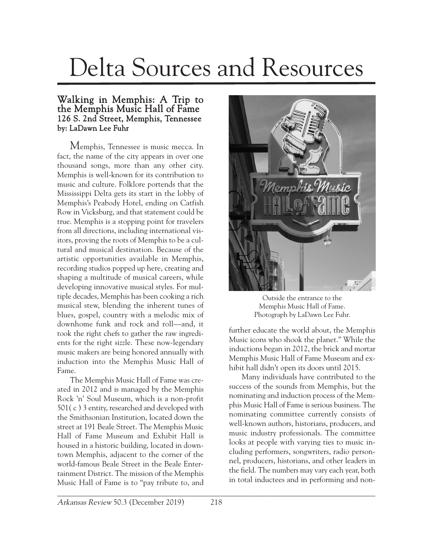## Delta Sources and Resources

## Walking in Memphis: A Trip to the Memphis Music Hall of Fame 126 S. 2nd Street, Memphis, Tennessee by: LaDawn Lee Fuhr

Memphis, Tennessee is music mecca. In fact, the name of the city appears in over one thousand songs, more than any other city. Memphis is well-known for its contribution to music and culture. Folklore portends that the Mississippi Delta gets its start in the lobby of Memphis's Peabody Hotel, ending on Catfish Row in Vicksburg, and that statement could be true. Memphis is a stopping point for travelers from all directions, including international visitors, proving the roots of Memphis to be a cultural and musical destination. Because of the artistic opportunities available in Memphis, recording studios popped up here, creating and shaping a multitude of musical careers, while developing innovative musical styles. For multiple decades, Memphis has been cooking a rich musical stew, blending the inherent tunes of blues, gospel, country with a melodic mix of downhome funk and rock and roll—and, it took the right chefs to gather the raw ingredients for the right sizzle. These now-legendary music makers are being honored annually with induction into the Memphis Music Hall of Fame.

The Memphis Music Hall of Fame was created in 2012 and is managed by the Memphis Rock 'n' Soul Museum, which is a non-profit 501( c ) 3 entity, researched and developed with the Smithsonian Institution, located down the street at 191 Beale Street. The Memphis Music Hall of Fame Museum and Exhibit Hall is housed in a historic building, located in downtown Memphis, adjacent to the corner of the world-famous Beale Street in the Beale Entertainment District. The mission of the Memphis Music Hall of Fame is to "pay tribute to, and



Outside the entrance to the Memphis Music Hall of Fame. Photograph by LaDawn Lee Fuhr.

further educate the world about, the Memphis Music icons who shook the planet." While the inductions began in 2012, the brick and mortar Memphis Music Hall of Fame Museum and exhibit hall didn't open its doors until 2015.

Many individuals have contributed to the success of the sounds from Memphis, but the nominating and induction process of the Memphis Music Hall of Fame is serious business. The nominating committee currently consists of well-known authors, historians, producers, and music industry professionals. The committee looks at people with varying ties to music including performers, songwriters, radio personnel, producers, historians, and other leaders in the field. The numbers may vary each year, both in total inductees and in performing and non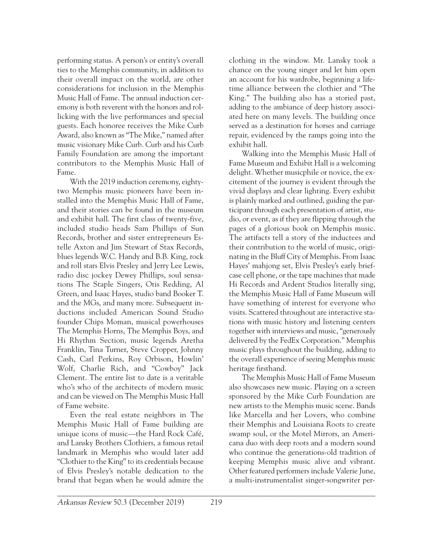performing status. A person's or entity's overall ties to the Memphis community, in addition to their overall impact on the world, are other considerations for inclusion in the Memphis Music Hall of Fame. The annual induction ceremony is both reverent with the honors and rollicking with the live performances and special guests. Each honoree receives the Mike Curb Award, also known as "The Mike," named after music visionary Mike Curb. Curb and his Curb Family Foundation are among the important contributors to the Memphis Music Hall of Fame.

With the 2019 induction ceremony, eightytwo Memphis music pioneers have been installed into the Memphis Music Hall of Fame, and their stories can be found in the museum and exhibit hall. The first class of twenty-five, included studio heads Sam Phillips of Sun Records, brother and sister entrepreneurs Estelle Axton and Jim Stewart of Stax Records, blues legends W.C. Handy and B.B. King, rock and roll stars Elvis Presley and Jerry Lee Lewis, radio disc jockey Dewey Phillips, soul sensations The Staple Singers, Otis Redding, Al Green, and Isaac Hayes, studio band Booker T. and the MGs, and many more. Subsequent inductions included American Sound Studio founder Chips Moman, musical powerhouses The Memphis Horns, The Memphis Boys, and Hi Rhythm Section, music legends Aretha Franklin, Tina Turner, Steve Cropper, Johnny Cash, Carl Perkins, Roy Orbison, Howlin' Wolf, Charlie Rich, and "Cowboy" Jack Clement. The entire list to date is a veritable who's who of the architects of modern music and can be viewed on The Memphis Music Hall of Fame website.

Even the real estate neighbors in The Memphis Music Hall of Fame building are unique icons of music—the Hard Rock Café, and Lansky Brothers Clothiers, a famous retail landmark in Memphis who would later add "Clothier to the King" to its credentials because of Elvis Presley's notable dedication to the brand that began when he would admire the clothing in the window. Mr. Lansky took a chance on the young singer and let him open an account for his wardrobe, beginning a lifetime alliance between the clothier and "The King." The building also has a storied past, adding to the ambiance of deep history associated here on many levels. The building once served as a destination for horses and carriage repair, evidenced by the ramps going into the exhibit hall.

Walking into the Memphis Music Hall of Fame Museum and Exhibit Hall is a welcoming delight. Whether musicphile or novice, the excitement of the journey is evident through the vivid displays and clear lighting. Every exhibit is plainly marked and outlined, guiding the participant through each presentation of artist, studio, or event, as if they are flipping through the pages of a glorious book on Memphis music. The artifacts tell a story of the inductees and their contribution to the world of music, originating in the Bluff City of Memphis. From Isaac Hayes' mahjong set, Elvis Presley's early briefcase cell phone, or the tape machines that made Hi Records and Ardent Studios literally sing, the Memphis Music Hall of Fame Museum will have something of interest for everyone who visits. Scattered throughout are interactive stations with music history and listening centers together with interviews and music, "generously delivered by the FedEx Corporation." Memphis music plays throughout the building, adding to the overall experience of seeing Memphis music heritage firsthand.

The Memphis Music Hall of Fame Museum also showcases new music. Playing on a screen sponsored by the Mike Curb Foundation are new artists to the Memphis music scene. Bands like Marcella and her Lovers, who combine their Memphis and Louisiana Roots to create swamp soul, or the Motel Mirrors, an Americana duo with deep roots and a modern sound who continue the generations-old tradition of keeping Memphis music alive and vibrant. Other featured performers include Valerie June, a multi-instrumentalist singer-songwriter per